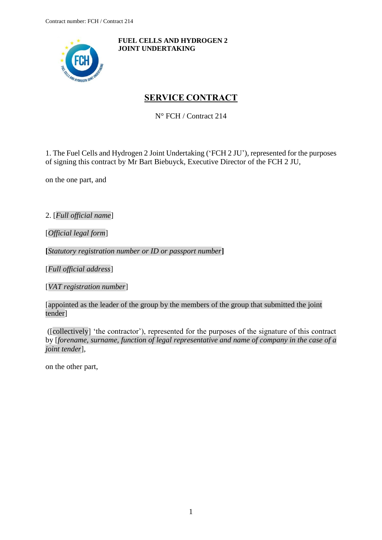<span id="page-0-0"></span>

**FUEL CELLS AND HYDROGEN 2 JOINT UNDERTAKING**

# **SERVICE CONTRACT**

N° FCH / Contract 214

1. The Fuel Cells and Hydrogen 2 Joint Undertaking ('FCH 2 JU'), represented for the purposes of signing this contract by Mr Bart Biebuyck, Executive Director of the FCH 2 JU,

on the one part, and

2. [*Full official name*]

[*Official legal form*]

**[***Statutory registration number or ID or passport number***]**

[*Full official address*]

[*VAT registration number*]

[appointed as the leader of the group by the members of the group that submitted the joint tender]

([collectively] 'the contractor'), represented for the purposes of the signature of this contract by [*forename, surname, function of legal representative and name of company in the case of a joint tender*],

on the other part,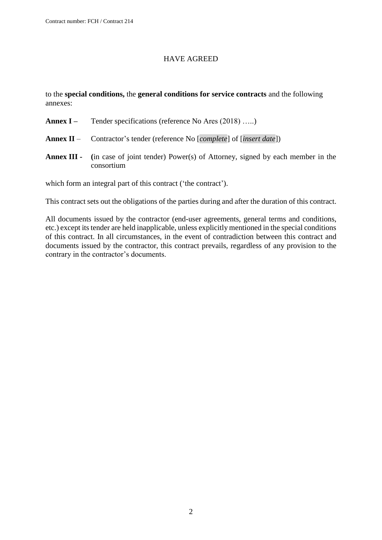#### HAVE AGREED

to the **special conditions,** the **general conditions for service contracts** and the following annexes:

- **Annex I** Tender specifications (reference No Ares (2018) …..)
- **Annex II** Contractor's tender (reference No [*complete*] of [*insert date*])
- **Annex III - (**in case of joint tender) Power(s) of Attorney, signed by each member in the consortium

which form an integral part of this contract ('the contract').

This contract sets out the obligations of the parties during and after the duration of this contract.

All documents issued by the contractor (end-user agreements, general terms and conditions, etc.) except its tender are held inapplicable, unless explicitly mentioned in the special conditions of this contract. In all circumstances, in the event of contradiction between this contract and documents issued by the contractor, this contract prevails, regardless of any provision to the contrary in the contractor's documents.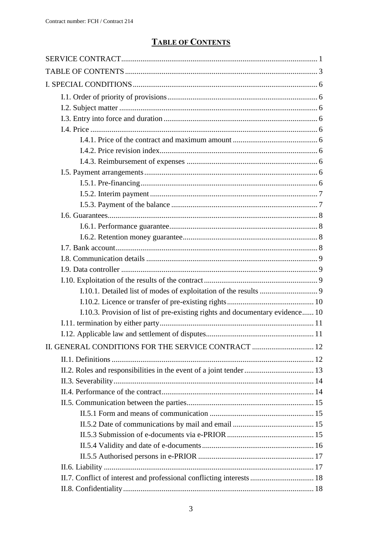# **TABLE OF CONTENTS**

<span id="page-2-0"></span>

| I.10.3. Provision of list of pre-existing rights and documentary evidence 10 |  |
|------------------------------------------------------------------------------|--|
|                                                                              |  |
|                                                                              |  |
| II. GENERAL CONDITIONS FOR THE SERVICE CONTRACT  12                          |  |
|                                                                              |  |
|                                                                              |  |
|                                                                              |  |
|                                                                              |  |
|                                                                              |  |
|                                                                              |  |
|                                                                              |  |
|                                                                              |  |
|                                                                              |  |
|                                                                              |  |
|                                                                              |  |
| II.7. Conflict of interest and professional conflicting interests  18        |  |
|                                                                              |  |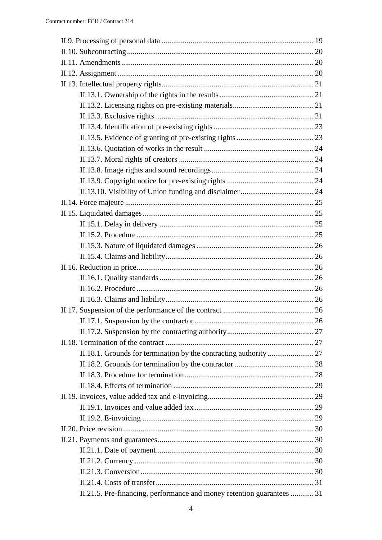| II.21.5. Pre-financing, performance and money retention guarantees  31 |  |
|------------------------------------------------------------------------|--|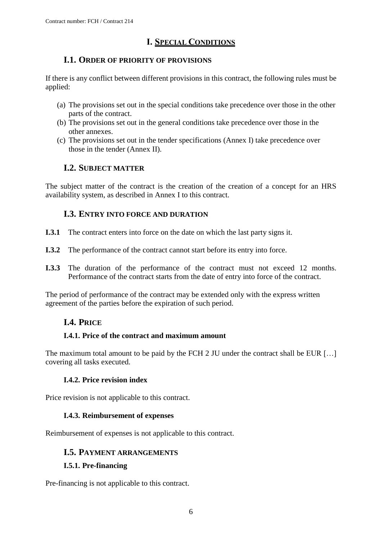# **I. SPECIAL CONDITIONS**

# <span id="page-5-0"></span>**I.1. ORDER OF PRIORITY OF PROVISIONS**

<span id="page-5-1"></span>If there is any conflict between different provisions in this contract, the following rules must be applied:

- (a) The provisions set out in the special conditions take precedence over those in the other parts of the contract.
- (b) The provisions set out in the general conditions take precedence over those in the other annexes.
- (c) The provisions set out in the tender specifications (Annex I) take precedence over those in the tender (Annex II).

# **I.2. SUBJECT MATTER**

<span id="page-5-2"></span>The subject matter of the contract is the creation of the creation of a concept for an HRS availability system, as described in Annex I to this contract.

# **I.3. ENTRY INTO FORCE AND DURATION**

- <span id="page-5-3"></span>**I.3.1** The contract enters into force on the date on which the last party signs it.
- **I.3.2** The performance of the contract cannot start before its entry into force.
- **I.3.3** The duration of the performance of the contract must not exceed 12 months. Performance of the contract starts from the date of entry into force of the contract.

<span id="page-5-4"></span>The period of performance of the contract may be extended only with the express written agreement of the parties before the expiration of such period.

# **I.4. PRICE**

### <span id="page-5-5"></span>**I.4.1. Price of the contract and maximum amount**

The maximum total amount to be paid by the FCH 2 JU under the contract shall be EUR [...] covering all tasks executed.

### **I.4.2. Price revision index**

<span id="page-5-7"></span><span id="page-5-6"></span>Price revision is not applicable to this contract.

### **I.4.3. Reimbursement of expenses**

<span id="page-5-8"></span>Reimbursement of expenses is not applicable to this contract.

### **I.5. PAYMENT ARRANGEMENTS**

### <span id="page-5-9"></span>**I.5.1. Pre-financing**

Pre-financing is not applicable to this contract.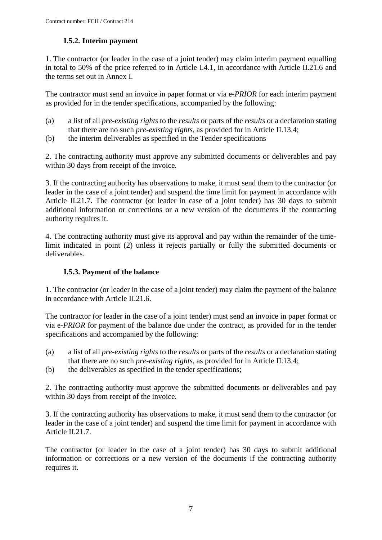# **I.5.2. Interim payment**

<span id="page-6-1"></span><span id="page-6-0"></span>1. The contractor (or leader in the case of a joint tender) may claim interim payment equalling in total to 50% of the price referred to in Article I.4.1, in accordance with Article II.21.6 and the terms set out in Annex I.

The contractor must send an invoice in paper format or via e*-PRIOR* for each interim payment as provided for in the tender specifications, accompanied by the following:

- (a) a list of all *pre-existing rights* to the *results* or parts of the *results* or a declaration stating that there are no such *pre-existing rights*, as provided for in Article II.13.4;
- (b) the interim deliverables as specified in the Tender specifications

2. The contracting authority must approve any submitted documents or deliverables and pay within 30 days from receipt of the invoice.

3. If the contracting authority has observations to make, it must send them to the contractor (or leader in the case of a joint tender) and suspend the time limit for payment in accordance with Article II.21.7. The contractor (or leader in case of a joint tender) has 30 days to submit additional information or corrections or a new version of the documents if the contracting authority requires it.

4. The contracting authority must give its approval and pay within the remainder of the timelimit indicated in point (2) unless it rejects partially or fully the submitted documents or deliverables.

### **I.5.3. Payment of the balance**

1. The contractor (or leader in the case of a joint tender) may claim the payment of the balance in accordance with Article II.21.6.

The contractor (or leader in the case of a joint tender) must send an invoice in paper format or via e*-PRIOR* for payment of the balance due under the contract, as provided for in the tender specifications and accompanied by the following:

- (a) a list of all *pre-existing rights* to the *results* or parts of the *results* or a declaration stating that there are no such *pre-existing rights*, as provided for in Article II.13.4;
- (b) the deliverables as specified in the tender specifications;

2. The contracting authority must approve the submitted documents or deliverables and pay within 30 days from receipt of the invoice.

3. If the contracting authority has observations to make, it must send them to the contractor (or leader in the case of a joint tender) and suspend the time limit for payment in accordance with Article II.21.7.

The contractor (or leader in the case of a joint tender) has 30 days to submit additional information or corrections or a new version of the documents if the contracting authority requires it.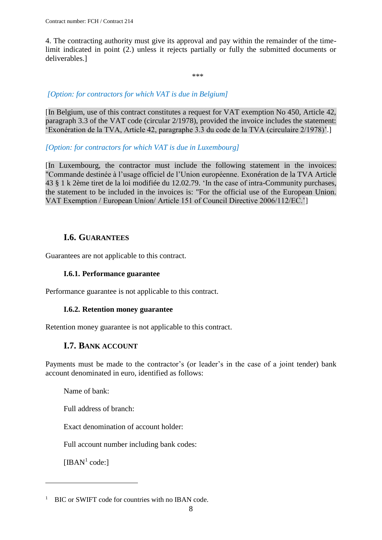4. The contracting authority must give its approval and pay within the remainder of the timelimit indicated in point (2.) unless it rejects partially or fully the submitted documents or deliverables.]

\*\*\*

### *[Option: for contractors for which VAT is due in Belgium]*

[In Belgium, use of this contract constitutes a request for VAT exemption No 450, Article 42, paragraph 3.3 of the VAT code (circular 2/1978), provided the invoice includes the statement: 'Exonération de la TVA, Article 42, paragraphe 3.3 du code de la TVA (circulaire 2/1978)'.]

#### *[Option: for contractors for which VAT is due in Luxembourg]*

[In Luxembourg, the contractor must include the following statement in the invoices: "Commande destinée à l'usage officiel de l'Union européenne. Exonération de la TVA Article 43 § 1 k 2ème tiret de la loi modifiée du 12.02.79. 'In the case of intra-Community purchases, the statement to be included in the invoices is: "For the official use of the European Union. VAT Exemption / European Union/ Article 151 of Council Directive 2006/112/EC.']

## **I.6. GUARANTEES**

<span id="page-7-1"></span><span id="page-7-0"></span>Guarantees are not applicable to this contract.

#### **I.6.1. Performance guarantee**

<span id="page-7-2"></span>Performance guarantee is not applicable to this contract.

### **I.6.2. Retention money guarantee**

<span id="page-7-3"></span>Retention money guarantee is not applicable to this contract.

### **I.7. BANK ACCOUNT**

Payments must be made to the contractor's (or leader's in the case of a joint tender) bank account denominated in euro, identified as follows:

Name of bank:

Full address of branch:

Exact denomination of account holder:

Full account number including bank codes:

[IBAN $<sup>1</sup>$  code:]</sup>

 $\overline{a}$ 

<sup>&</sup>lt;sup>1</sup> BIC or SWIFT code for countries with no IBAN code.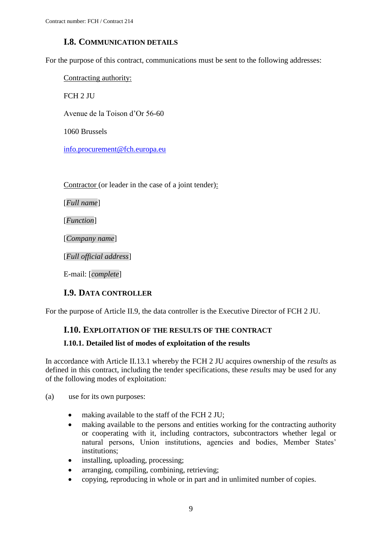# **I.8. COMMUNICATION DETAILS**

<span id="page-8-0"></span>For the purpose of this contract, communications must be sent to the following addresses:

Contracting authority:

FCH 2 JU

Avenue de la Toison d'Or 56-60

1060 Brussels

[info.procurement@fch.europa.eu](mailto:info.procurement@fch.europa.eu)

Contractor (or leader in the case of a joint tender):

[*Full name*]

[*Function*]

[*Company name*]

[*Full official address*]

E-mail: [*complete*]

### **I.9. DATA CONTROLLER**

<span id="page-8-2"></span><span id="page-8-1"></span>For the purpose of Article II.9, the data controller is the Executive Director of FCH 2 JU.

### **I.10. EXPLOITATION OF THE RESULTS OF THE CONTRACT**

### <span id="page-8-3"></span>**I.10.1. Detailed list of modes of exploitation of the results**

In accordance with Article II.13.1 whereby the FCH 2 JU acquires ownership of the *results* as defined in this contract, including the tender specifications, these *results* may be used for any of the following modes of exploitation:

(a) use for its own purposes:

- making available to the staff of the FCH 2 JU;
- making available to the persons and entities working for the contracting authority or cooperating with it, including contractors, subcontractors whether legal or natural persons, Union institutions, agencies and bodies, Member States' institutions;
- installing, uploading, processing;
- arranging, compiling, combining, retrieving;
- copying, reproducing in whole or in part and in unlimited number of copies.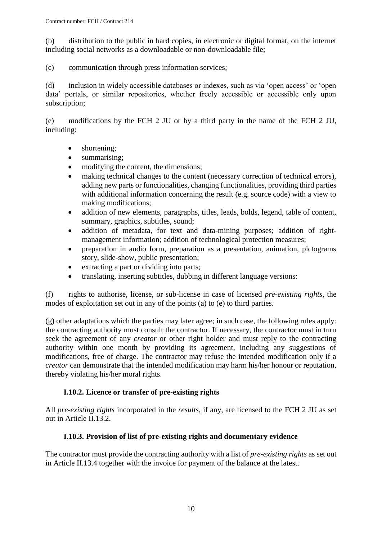(b) distribution to the public in hard copies, in electronic or digital format, on the internet including social networks as a downloadable or non-downloadable file;

(c) communication through press information services;

(d) inclusion in widely accessible databases or indexes, such as via 'open access' or 'open data' portals, or similar repositories, whether freely accessible or accessible only upon subscription;

(e) modifications by the FCH 2 JU or by a third party in the name of the FCH 2 JU, including:

- shortening;
- summarising;
- modifying the content, the dimensions:
- making technical changes to the content (necessary correction of technical errors), adding new parts or functionalities, changing functionalities, providing third parties with additional information concerning the result (e.g. source code) with a view to making modifications;
- addition of new elements, paragraphs, titles, leads, bolds, legend, table of content, summary, graphics, subtitles, sound;
- addition of metadata, for text and data-mining purposes; addition of rightmanagement information; addition of technological protection measures;
- preparation in audio form, preparation as a presentation, animation, pictograms story, slide-show, public presentation;
- extracting a part or dividing into parts;
- translating, inserting subtitles, dubbing in different language versions:

(f) rights to authorise, license, or sub-license in case of licensed *pre-existing rights*, the modes of exploitation set out in any of the points (a) to (e) to third parties.

(g) other adaptations which the parties may later agree; in such case, the following rules apply: the contracting authority must consult the contractor. If necessary, the contractor must in turn seek the agreement of any *creator* or other right holder and must reply to the contracting authority within one month by providing its agreement, including any suggestions of modifications, free of charge. The contractor may refuse the intended modification only if a *creator* can demonstrate that the intended modification may harm his/her honour or reputation, thereby violating his/her moral rights.

### **I.10.2. Licence or transfer of pre-existing rights**

<span id="page-9-0"></span>All *pre-existing rights* incorporated in the *results*, if any, are licensed to the FCH 2 JU as set out in Article II.13.2.

### **I.10.3. Provision of list of pre-existing rights and documentary evidence**

<span id="page-9-1"></span>The contractor must provide the contracting authority with a list of *pre-existing rights* as set out in Article II.13.4 together with the invoice for payment of the balance at the latest.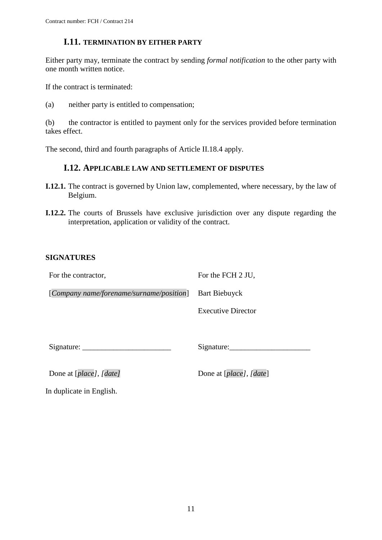### **I.11. TERMINATION BY EITHER PARTY**

<span id="page-10-0"></span>Either party may, terminate the contract by sending *formal notification* to the other party with one month written notice.

If the contract is terminated:

(a) neither party is entitled to compensation;

(b) the contractor is entitled to payment only for the services provided before termination takes effect.

<span id="page-10-1"></span>The second, third and fourth paragraphs of Article II.18.4 apply.

### **I.12. APPLICABLE LAW AND SETTLEMENT OF DISPUTES**

- **I.12.1.** The contract is governed by Union law, complemented, where necessary, by the law of Belgium.
- **I.12.2.** The courts of Brussels have exclusive jurisdiction over any dispute regarding the interpretation, application or validity of the contract.

### **SIGNATURES**

For the contractor,

For the FCH 2 JU,

[*Company name/forename/surname/position*] Bart Biebuyck

Executive Director

Signature:

Signature:\_\_\_\_\_\_\_\_\_\_\_\_\_\_\_\_\_\_\_\_\_

Done at [*place*], [*date*] Done at [*place*], [*date*]

In duplicate in English.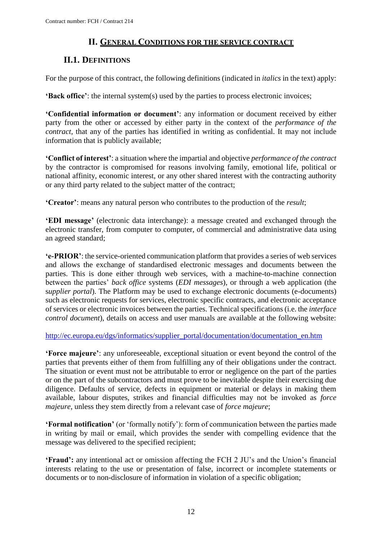# **II. GENERAL CONDITIONS FOR THE SERVICE CONTRACT**

# <span id="page-11-1"></span><span id="page-11-0"></span>**II.1. DEFINITIONS**

For the purpose of this contract, the following definitions (indicated in *italics* in the text) apply:

**'Back office'**: the internal system(s) used by the parties to process electronic invoices;

**'Confidential information or document'**: any information or document received by either party from the other or accessed by either party in the context of the *performance of the contract,* that any of the parties has identified in writing as confidential. It may not include information that is publicly available;

**'Conflict of interest'**: a situation where the impartial and objective *performance of the contract*  by the contractor is compromised for reasons involving family, emotional life, political or national affinity, economic interest, or any other shared interest with the contracting authority or any third party related to the subject matter of the contract;

**'Creator'**: means any natural person who contributes to the production of the *result*;

**'EDI message'** (electronic data interchange): a message created and exchanged through the electronic transfer, from computer to computer, of commercial and administrative data using an agreed standard;

**'e-PRIOR'**: the service-oriented communication platform that provides a series of web services and allows the exchange of standardised electronic messages and documents between the parties. This is done either through web services, with a machine-to-machine connection between the parties' *back office* systems (*EDI messages*), or through a web application (the s*upplier portal*). The Platform may be used to exchange electronic documents (e-documents) such as electronic requests for services, electronic specific contracts, and electronic acceptance of services or electronic invoices between the parties. Technical specifications (i.e. the *interface control document*), details on access and user manuals are available at the following website:

[http://ec.europa.eu/dgs/informatics/supplier\\_portal/documentation/documentation\\_en.htm](http://ec.europa.eu/dgs/informatics/supplier_portal/documentation/documentation_en.htm)

**'Force majeure'**: any unforeseeable, exceptional situation or event beyond the control of the parties that prevents either of them from fulfilling any of their obligations under the contract. The situation or event must not be attributable to error or negligence on the part of the parties or on the part of the subcontractors and must prove to be inevitable despite their exercising due diligence. Defaults of service, defects in equipment or material or delays in making them available, labour disputes, strikes and financial difficulties may not be invoked as *force majeure*, unless they stem directly from a relevant case of *force majeure*;

**'Formal notification'** (or 'formally notify'): form of communication between the parties made in writing by mail or email, which provides the sender with compelling evidence that the message was delivered to the specified recipient;

**'Fraud':** any intentional act or omission affecting the FCH 2 JU's and the Union's financial interests relating to the use or presentation of false, incorrect or incomplete statements or documents or to non-disclosure of information in violation of a specific obligation;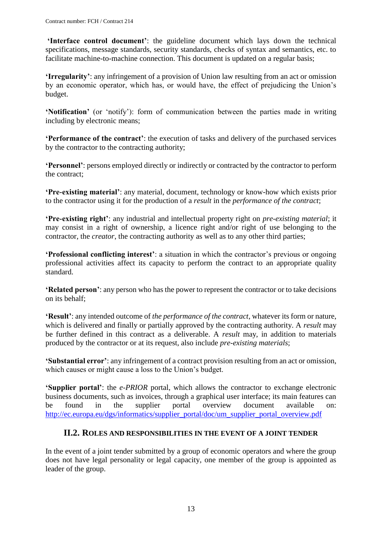**'Interface control document'**: the guideline document which lays down the technical specifications, message standards, security standards, checks of syntax and semantics, etc. to facilitate machine-to-machine connection. This document is updated on a regular basis;

**'Irregularity'**: any infringement of a provision of Union law resulting from an act or omission by an economic operator, which has, or would have, the effect of prejudicing the Union's budget.

**'Notification'** (or 'notify'): form of communication between the parties made in writing including by electronic means;

**'Performance of the contract'**: the execution of tasks and delivery of the purchased services by the contractor to the contracting authority;

**'Personnel'**: persons employed directly or indirectly or contracted by the contractor to perform the contract;

**'Pre-existing material'**: any material, document, technology or know-how which exists prior to the contractor using it for the production of a *result* in the *performance of the contract*;

**'Pre-existing right'**: any industrial and intellectual property right on *pre-existing material*; it may consist in a right of ownership, a licence right and/or right of use belonging to the contractor, the *creator*, the contracting authority as well as to any other third parties;

**'Professional conflicting interest'**: a situation in which the contractor's previous or ongoing professional activities affect its capacity to perform the contract to an appropriate quality standard.

**'Related person'**: any person who has the power to represent the contractor or to take decisions on its behalf;

**'Result'**: any intended outcome of *the performance of the contract*, whatever its form or nature, which is delivered and finally or partially approved by the contracting authority. A *result* may be further defined in this contract as a deliverable. A *result* may, in addition to materials produced by the contractor or at its request, also include *pre-existing materials*;

**'Substantial error'**: any infringement of a contract provision resulting from an act or omission, which causes or might cause a loss to the Union's budget.

**'Supplier portal'**: the *e-PRIOR* portal, which allows the contractor to exchange electronic business documents, such as invoices, through a graphical user interface; its main features can be found in the supplier portal overview document available on: [http://ec.europa.eu/dgs/informatics/supplier\\_portal/doc/um\\_supplier\\_portal\\_overview.pdf](http://ec.europa.eu/dgs/informatics/supplier_portal/doc/um_supplier_portal_overview.pdf)

### <span id="page-12-0"></span>**II.2. ROLES AND RESPONSIBILITIES IN THE EVENT OF A JOINT TENDER**

In the event of a joint tender submitted by a group of economic operators and where the group does not have legal personality or legal capacity, one member of the group is appointed as leader of the group.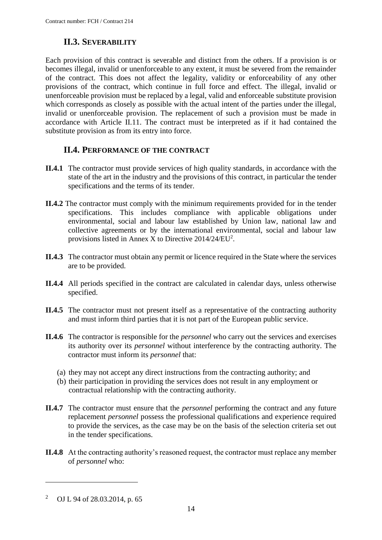# **II.3. SEVERABILITY**

<span id="page-13-0"></span>Each provision of this contract is severable and distinct from the others. If a provision is or becomes illegal, invalid or unenforceable to any extent, it must be severed from the remainder of the contract. This does not affect the legality, validity or enforceability of any other provisions of the contract, which continue in full force and effect. The illegal, invalid or unenforceable provision must be replaced by a legal, valid and enforceable substitute provision which corresponds as closely as possible with the actual intent of the parties under the illegal, invalid or unenforceable provision. The replacement of such a provision must be made in accordance with Article II.11. The contract must be interpreted as if it had contained the substitute provision as from its entry into force.

## **II.4. PERFORMANCE OF THE CONTRACT**

- <span id="page-13-1"></span>**II.4.1** The contractor must provide services of high quality standards, in accordance with the state of the art in the industry and the provisions of this contract, in particular the tender specifications and the terms of its tender.
- **II.4.2** The contractor must comply with the minimum requirements provided for in the tender specifications. This includes compliance with applicable obligations under environmental, social and labour law established by Union law, national law and collective agreements or by the international environmental, social and labour law provisions listed in Annex X to Directive  $2014/24/EU^2$ .
- **II.4.3** The contractor must obtain any permit or licence required in the State where the services are to be provided.
- **II.4.4** All periods specified in the contract are calculated in calendar days, unless otherwise specified.
- **II.4.5** The contractor must not present itself as a representative of the contracting authority and must inform third parties that it is not part of the European public service.
- **II.4.6** The contractor is responsible for the *personnel* who carry out the services and exercises its authority over its *personnel* without interference by the contracting authority. The contractor must inform its *personnel* that:
	- (a) they may not accept any direct instructions from the contracting authority; and
	- (b) their participation in providing the services does not result in any employment or contractual relationship with the contracting authority.
- **II.4.7** The contractor must ensure that the *personnel* performing the contract and any future replacement *personnel* possess the professional qualifications and experience required to provide the services, as the case may be on the basis of the selection criteria set out in the tender specifications.
- **II.4.8** At the contracting authority's reasoned request, the contractor must replace any member of *personnel* who:

 $\overline{a}$ 

<sup>2</sup> OJ L 94 of 28.03.2014, p. 65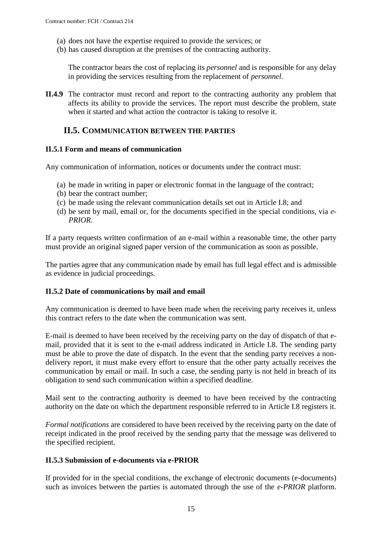- (a) does not have the expertise required to provide the services; or
- (b) has caused disruption at the premises of the contracting authority.

The contractor bears the cost of replacing its *personnel* and is responsible for any delay in providing the services resulting from the replacement of *personnel*.

**II.4.9** The contractor must record and report to the contracting authority any problem that affects its ability to provide the services. The report must describe the problem, state when it started and what action the contractor is taking to resolve it.

### <span id="page-14-0"></span>**II.5. COMMUNICATION BETWEEN THE PARTIES**

#### <span id="page-14-1"></span>**II.5.1 Form and means of communication**

Any communication of information, notices or documents under the contract must:

- (a) be made in writing in paper or electronic format in the language of the contract;
- (b) bear the contract number;
- (c) be made using the relevant communication details set out in Article I.8; and
- (d) be sent by mail, email or, for the documents specified in the special conditions, via *e-PRIOR*.

If a party requests written confirmation of an e-mail within a reasonable time, the other party must provide an original signed paper version of the communication as soon as possible.

The parties agree that any communication made by email has full legal effect and is admissible as evidence in judicial proceedings.

#### <span id="page-14-2"></span>**II.5.2 Date of communications by mail and email**

Any communication is deemed to have been made when the receiving party receives it, unless this contract refers to the date when the communication was sent.

E-mail is deemed to have been received by the receiving party on the day of dispatch of that email, provided that it is sent to the e-mail address indicated in Article I.8. The sending party must be able to prove the date of dispatch. In the event that the sending party receives a nondelivery report, it must make every effort to ensure that the other party actually receives the communication by email or mail. In such a case, the sending party is not held in breach of its obligation to send such communication within a specified deadline.

Mail sent to the contracting authority is deemed to have been received by the contracting authority on the date on which the department responsible referred to in Article I.8 registers it.

*Formal notifications* are considered to have been received by the receiving party on the date of receipt indicated in the proof received by the sending party that the message was delivered to the specified recipient.

#### <span id="page-14-3"></span>**II.5.3 Submission of e-documents via e-PRIOR**

If provided for in the special conditions, the exchange of electronic documents (e-documents) such as invoices between the parties is automated through the use of the *e-PRIOR* platform.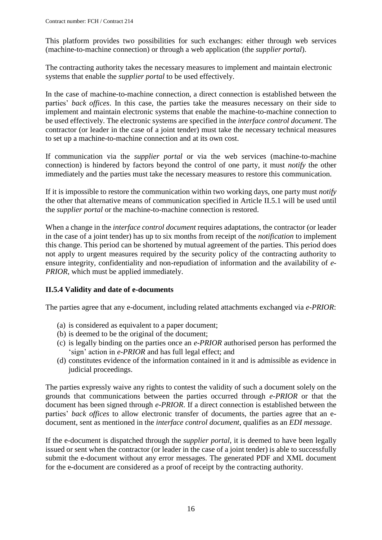This platform provides two possibilities for such exchanges: either through web services (machine-to-machine connection) or through a web application (the *supplier portal*).

The contracting authority takes the necessary measures to implement and maintain electronic systems that enable the *supplier portal* to be used effectively.

In the case of machine-to-machine connection, a direct connection is established between the parties' *back offices*. In this case, the parties take the measures necessary on their side to implement and maintain electronic systems that enable the machine-to-machine connection to be used effectively. The electronic systems are specified in the *interface control document*. The contractor (or leader in the case of a joint tender) must take the necessary technical measures to set up a machine-to-machine connection and at its own cost.

If communication via the *supplier portal* or via the web services (machine-to-machine connection) is hindered by factors beyond the control of one party, it must *notify* the other immediately and the parties must take the necessary measures to restore this communication.

If it is impossible to restore the communication within two working days, one party must *notify* the other that alternative means of communication specified in Article II.5.1 will be used until the *supplier portal* or the machine-to-machine connection is restored.

When a change in the *interface control document* requires adaptations, the contractor (or leader in the case of a joint tender) has up to six months from receipt of the *notification* to implement this change. This period can be shortened by mutual agreement of the parties. This period does not apply to urgent measures required by the security policy of the contracting authority to ensure integrity, confidentiality and non-repudiation of information and the availability of *e-PRIOR*, which must be applied immediately.

### <span id="page-15-0"></span>**II.5.4 Validity and date of e-documents**

The parties agree that any e-document, including related attachments exchanged via *e-PRIOR*:

- (a) is considered as equivalent to a paper document;
- (b) is deemed to be the original of the document;
- (c) is legally binding on the parties once an *e-PRIOR* authorised person has performed the 'sign' action in *e-PRIOR* and has full legal effect; and
- (d) constitutes evidence of the information contained in it and is admissible as evidence in judicial proceedings.

The parties expressly waive any rights to contest the validity of such a document solely on the grounds that communications between the parties occurred through *e-PRIOR* or that the document has been signed through *e-PRIOR*. If a direct connection is established between the parties' *back offices* to allow electronic transfer of documents, the parties agree that an edocument, sent as mentioned in the *interface control document*, qualifies as an *EDI message*.

If the e-document is dispatched through the *supplier portal*, it is deemed to have been legally issued or sent when the contractor (or leader in the case of a joint tender) is able to successfully submit the e-document without any error messages. The generated PDF and XML document for the e-document are considered as a proof of receipt by the contracting authority.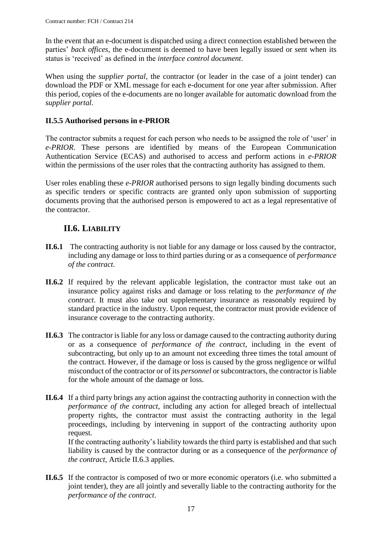In the event that an e-document is dispatched using a direct connection established between the parties' *back offices*, the e-document is deemed to have been legally issued or sent when its status is 'received' as defined in the *interface control document*.

When using the *supplier portal*, the contractor (or leader in the case of a joint tender) can download the PDF or XML message for each e-document for one year after submission. After this period, copies of the e-documents are no longer available for automatic download from the *supplier portal*.

## <span id="page-16-0"></span>**II.5.5 Authorised persons in e-PRIOR**

The contractor submits a request for each person who needs to be assigned the role of 'user' in *e-PRIOR*. These persons are identified by means of the European Communication Authentication Service (ECAS) and authorised to access and perform actions in *e-PRIOR* within the permissions of the user roles that the contracting authority has assigned to them.

User roles enabling these *e-PRIOR* authorised persons to sign legally binding documents such as specific tenders or specific contracts are granted only upon submission of supporting documents proving that the authorised person is empowered to act as a legal representative of the contractor.

# **II.6. LIABILITY**

- <span id="page-16-1"></span>**II.6.1** The contracting authority is not liable for any damage or loss caused by the contractor, including any damage or loss to third parties during or as a consequence of *performance of the contract*.
- **II.6.2** If required by the relevant applicable legislation, the contractor must take out an insurance policy against risks and damage or loss relating to the *performance of the contract*. It must also take out supplementary insurance as reasonably required by standard practice in the industry. Upon request, the contractor must provide evidence of insurance coverage to the contracting authority.
- **II.6.3** The contractor is liable for any loss or damage caused to the contracting authority during or as a consequence of *performance of the contract*, including in the event of subcontracting, but only up to an amount not exceeding three times the total amount of the contract. However, if the damage or loss is caused by the gross negligence or wilful misconduct of the contractor or of its *personnel* or subcontractors, the contractor is liable for the whole amount of the damage or loss.
- **II.6.4** If a third party brings any action against the contracting authority in connection with the *performance of the contract*, including any action for alleged breach of intellectual property rights, the contractor must assist the contracting authority in the legal proceedings, including by intervening in support of the contracting authority upon request.

If the contracting authority's liability towards the third party is established and that such liability is caused by the contractor during or as a consequence of the *performance of the contract*, Article II.6.3 applies.

**II.6.5** If the contractor is composed of two or more economic operators (i.e. who submitted a joint tender), they are all jointly and severally liable to the contracting authority for the *performance of the contract*.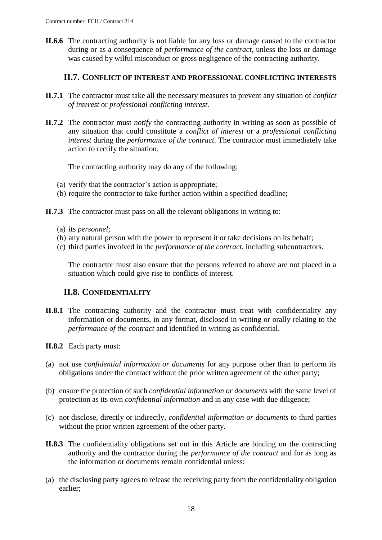**II.6.6** The contracting authority is not liable for any loss or damage caused to the contractor during or as a consequence of *performance of the contract*, unless the loss or damage was caused by wilful misconduct or gross negligence of the contracting authority.

### **II.7. CONFLICT OF INTEREST AND PROFESSIONAL CONFLICTING INTERESTS**

- <span id="page-17-0"></span>**II.7.1** The contractor must take all the necessary measures to prevent any situation of *conflict of interest* or *professional conflicting interest.*
- **II.7.2** The contractor must *notify* the contracting authority in writing as soon as possible of any situation that could constitute a *conflict of interest* or a *professional conflicting interest* during the *performance of the contract*. The contractor must immediately take action to rectify the situation.

The contracting authority may do any of the following:

- (a) verify that the contractor's action is appropriate;
- (b) require the contractor to take further action within a specified deadline;

**II.7.3** The contractor must pass on all the relevant obligations in writing to:

- (a) its *personnel*;
- (b) any natural person with the power to represent it or take decisions on its behalf;
- (c) third parties involved in the *performance of the contract*, including subcontractors.

The contractor must also ensure that the persons referred to above are not placed in a situation which could give rise to conflicts of interest.

### **II.8. CONFIDENTIALITY**

- <span id="page-17-1"></span>**II.8.1** The contracting authority and the contractor must treat with confidentiality any information or documents, in any format, disclosed in writing or orally relating to the *performance of the contract* and identified in writing as confidential.
- **II.8.2** Each party must:
- (a) not use *confidential information or documents* for any purpose other than to perform its obligations under the contract without the prior written agreement of the other party;
- (b) ensure the protection of such *confidential information or documents* with the same level of protection as its own *confidential information* and in any case with due diligence;
- (c) not disclose, directly or indirectly, *confidential information or documents* to third parties without the prior written agreement of the other party.
- **II.8.3** The confidentiality obligations set out in this Article are binding on the contracting authority and the contractor during the *performance of the contract* and for as long as the information or documents remain confidential unless:
- (a) the disclosing party agrees to release the receiving party from the confidentiality obligation earlier;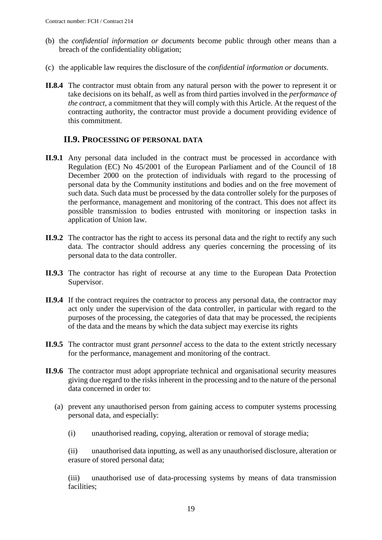- (b) the *confidential information or documents* become public through other means than a breach of the confidentiality obligation;
- (c) the applicable law requires the disclosure of the *confidential information or documents*.
- **II.8.4** The contractor must obtain from any natural person with the power to represent it or take decisions on its behalf, as well as from third parties involved in the *performance of the contract*, a commitment that they will comply with this Article. At the request of the contracting authority, the contractor must provide a document providing evidence of this commitment.

### **II.9. PROCESSING OF PERSONAL DATA**

- <span id="page-18-0"></span>**II.9.1** Any personal data included in the contract must be processed in accordance with Regulation (EC) No 45/2001 of the European Parliament and of the Council of 18 December 2000 on the protection of individuals with regard to the processing of personal data by the Community institutions and bodies and on the free movement of such data. Such data must be processed by the data controller solely for the purposes of the performance, management and monitoring of the contract. This does not affect its possible transmission to bodies entrusted with monitoring or inspection tasks in application of Union law.
- **II.9.2** The contractor has the right to access its personal data and the right to rectify any such data. The contractor should address any queries concerning the processing of its personal data to the data controller.
- **II.9.3** The contractor has right of recourse at any time to the European Data Protection Supervisor.
- **II.9.4** If the contract requires the contractor to process any personal data, the contractor may act only under the supervision of the data controller, in particular with regard to the purposes of the processing, the categories of data that may be processed, the recipients of the data and the means by which the data subject may exercise its rights
- **II.9.5** The contractor must grant *personnel* access to the data to the extent strictly necessary for the performance, management and monitoring of the contract.
- **II.9.6** The contractor must adopt appropriate technical and organisational security measures giving due regard to the risks inherent in the processing and to the nature of the personal data concerned in order to:
	- (a) prevent any unauthorised person from gaining access to computer systems processing personal data, and especially:
		- (i) unauthorised reading, copying, alteration or removal of storage media;

(ii) unauthorised data inputting, as well as any unauthorised disclosure, alteration or erasure of stored personal data;

(iii) unauthorised use of data-processing systems by means of data transmission facilities;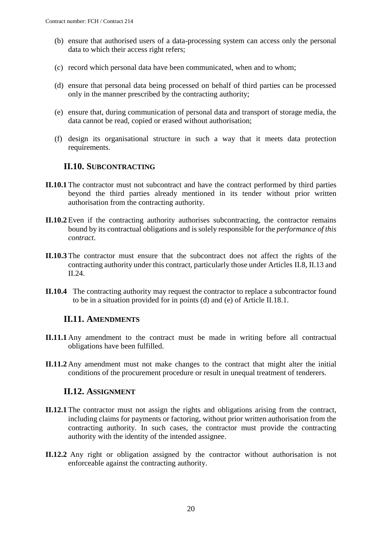- (b) ensure that authorised users of a data-processing system can access only the personal data to which their access right refers;
- (c) record which personal data have been communicated, when and to whom;
- (d) ensure that personal data being processed on behalf of third parties can be processed only in the manner prescribed by the contracting authority;
- (e) ensure that, during communication of personal data and transport of storage media, the data cannot be read, copied or erased without authorisation;
- (f) design its organisational structure in such a way that it meets data protection requirements.

### **II.10. SUBCONTRACTING**

- <span id="page-19-0"></span>**II.10.1** The contractor must not subcontract and have the contract performed by third parties beyond the third parties already mentioned in its tender without prior written authorisation from the contracting authority.
- **II.10.2** Even if the contracting authority authorises subcontracting, the contractor remains bound by its contractual obligations and is solely responsible for the *performance of this contract*.
- **II.10.3** The contractor must ensure that the subcontract does not affect the rights of the contracting authority under this contract, particularly those under Articles II.8, II.13 and II.24.
- **II.10.4** The contracting authority may request the contractor to replace a subcontractor found to be in a situation provided for in points (d) and (e) of Article II.18.1.

### <span id="page-19-1"></span>**II.11. AMENDMENTS**

- **II.11.1** Any amendment to the contract must be made in writing before all contractual obligations have been fulfilled.
- **II.11.2** Any amendment must not make changes to the contract that might alter the initial conditions of the procurement procedure or result in unequal treatment of tenderers.

### **II.12. ASSIGNMENT**

- <span id="page-19-2"></span>**II.12.1** The contractor must not assign the rights and obligations arising from the contract, including claims for payments or factoring, without prior written authorisation from the contracting authority. In such cases, the contractor must provide the contracting authority with the identity of the intended assignee.
- **II.12.2** Any right or obligation assigned by the contractor without authorisation is not enforceable against the contracting authority.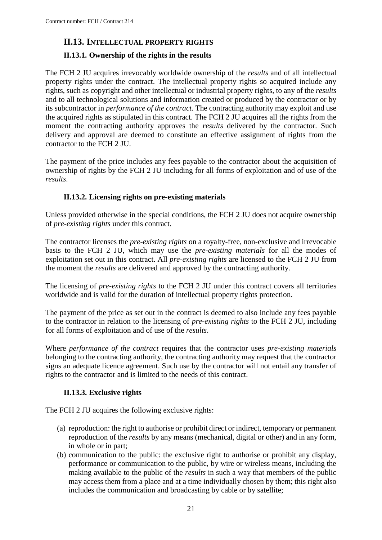## <span id="page-20-0"></span>**II.13. INTELLECTUAL PROPERTY RIGHTS**

### <span id="page-20-1"></span>**II.13.1. Ownership of the rights in the results**

The FCH 2 JU acquires irrevocably worldwide ownership of the *results* and of all intellectual property rights under the contract. The intellectual property rights so acquired include any rights, such as copyright and other intellectual or industrial property rights, to any of the *results* and to all technological solutions and information created or produced by the contractor or by its subcontractor in *performance of the contract*. The contracting authority may exploit and use the acquired rights as stipulated in this contract. The FCH 2 JU acquires all the rights from the moment the contracting authority approves the *results* delivered by the contractor. Such delivery and approval are deemed to constitute an effective assignment of rights from the contractor to the FCH 2 JU.

The payment of the price includes any fees payable to the contractor about the acquisition of ownership of rights by the FCH 2 JU including for all forms of exploitation and of use of the *results*.

### **II.13.2. Licensing rights on pre-existing materials**

<span id="page-20-2"></span>Unless provided otherwise in the special conditions, the FCH 2 JU does not acquire ownership of *pre-existing rights* under this contract.

The contractor licenses the *pre-existing rights* on a royalty-free, non-exclusive and irrevocable basis to the FCH 2 JU, which may use the *pre-existing materials* for all the modes of exploitation set out in this contract. All *pre-existing rights* are licensed to the FCH 2 JU from the moment the *results* are delivered and approved by the contracting authority.

The licensing of *pre-existing rights* to the FCH 2 JU under this contract covers all territories worldwide and is valid for the duration of intellectual property rights protection.

The payment of the price as set out in the contract is deemed to also include any fees payable to the contractor in relation to the licensing of *pre-existing rights* to the FCH 2 JU, including for all forms of exploitation and of use of the *results*.

Where *performance of the contract* requires that the contractor uses *pre-existing materials* belonging to the contracting authority, the contracting authority may request that the contractor signs an adequate licence agreement. Such use by the contractor will not entail any transfer of rights to the contractor and is limited to the needs of this contract.

### **II.13.3. Exclusive rights**

<span id="page-20-3"></span>The FCH 2 JU acquires the following exclusive rights:

- (a) reproduction: the right to authorise or prohibit direct or indirect, temporary or permanent reproduction of the *results* by any means (mechanical, digital or other) and in any form, in whole or in part;
- (b) communication to the public: the exclusive right to authorise or prohibit any display, performance or communication to the public, by wire or wireless means, including the making available to the public of the *results* in such a way that members of the public may access them from a place and at a time individually chosen by them; this right also includes the communication and broadcasting by cable or by satellite;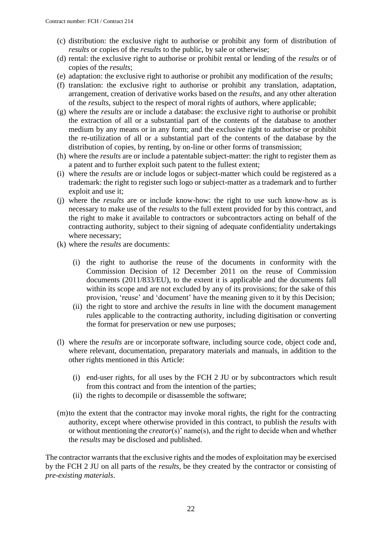- (c) distribution: the exclusive right to authorise or prohibit any form of distribution of *results* or copies of the *results* to the public, by sale or otherwise;
- (d) rental: the exclusive right to authorise or prohibit rental or lending of the *results* or of copies of the *results*;
- (e) adaptation: the exclusive right to authorise or prohibit any modification of the *results*;
- (f) translation: the exclusive right to authorise or prohibit any translation, adaptation, arrangement, creation of derivative works based on the *results*, and any other alteration of the *results*, subject to the respect of moral rights of authors, where applicable;
- (g) where the *results* are or include a database: the exclusive right to authorise or prohibit the extraction of all or a substantial part of the contents of the database to another medium by any means or in any form; and the exclusive right to authorise or prohibit the re-utilization of all or a substantial part of the contents of the database by the distribution of copies, by renting, by on-line or other forms of transmission;
- (h) where the *results* are or include a patentable subject-matter: the right to register them as a patent and to further exploit such patent to the fullest extent;
- (i) where the *results* are or include logos or subject-matter which could be registered as a trademark: the right to register such logo or subject-matter as a trademark and to further exploit and use it;
- (j) where the *results* are or include know-how: the right to use such know-how as is necessary to make use of the *results* to the full extent provided for by this contract, and the right to make it available to contractors or subcontractors acting on behalf of the contracting authority, subject to their signing of adequate confidentiality undertakings where necessary;
- (k) where the *results* are documents:
	- (i) the right to authorise the reuse of the documents in conformity with the Commission Decision of 12 December 2011 on the reuse of Commission documents (2011/833/EU), to the extent it is applicable and the documents fall within its scope and are not excluded by any of its provisions; for the sake of this provision, 'reuse' and 'document' have the meaning given to it by this Decision;
	- (ii) the right to store and archive the *results* in line with the document management rules applicable to the contracting authority, including digitisation or converting the format for preservation or new use purposes;
- (l) where the *results* are or incorporate software, including source code, object code and, where relevant, documentation, preparatory materials and manuals, in addition to the other rights mentioned in this Article:
	- (i) end-user rights, for all uses by the FCH 2 JU or by subcontractors which result from this contract and from the intention of the parties;
	- (ii) the rights to decompile or disassemble the software;
- (m)to the extent that the contractor may invoke moral rights, the right for the contracting authority, except where otherwise provided in this contract, to publish the *results* with or without mentioning the *creator*(s)' name(s), and the right to decide when and whether the *results* may be disclosed and published.

The contractor warrants that the exclusive rights and the modes of exploitation may be exercised by the FCH 2 JU on all parts of the *results*, be they created by the contractor or consisting of *pre-existing materials*.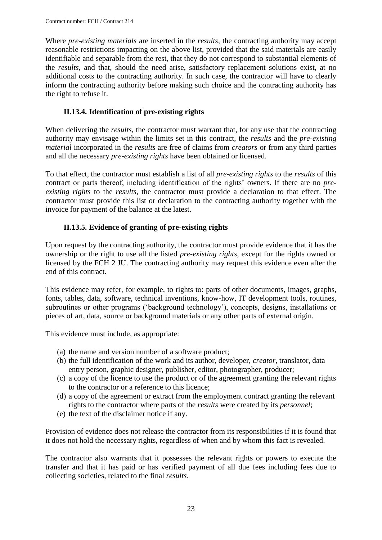Where *pre-existing materials* are inserted in the *results*, the contracting authority may accept reasonable restrictions impacting on the above list, provided that the said materials are easily identifiable and separable from the rest, that they do not correspond to substantial elements of the *results*, and that, should the need arise, satisfactory replacement solutions exist, at no additional costs to the contracting authority. In such case, the contractor will have to clearly inform the contracting authority before making such choice and the contracting authority has the right to refuse it.

### **II.13.4. Identification of pre-existing rights**

<span id="page-22-0"></span>When delivering the *results*, the contractor must warrant that, for any use that the contracting authority may envisage within the limits set in this contract, the *results* and the *pre-existing material* incorporated in the *results* are free of claims from *creators* or from any third parties and all the necessary *pre-existing rights* have been obtained or licensed.

To that effect, the contractor must establish a list of all *pre-existing rights* to the *results* of this contract or parts thereof, including identification of the rights' owners. If there are no *preexisting rights* to the *results*, the contractor must provide a declaration to that effect. The contractor must provide this list or declaration to the contracting authority together with the invoice for payment of the balance at the latest.

### **II.13.5. Evidence of granting of pre-existing rights**

<span id="page-22-1"></span>Upon request by the contracting authority, the contractor must provide evidence that it has the ownership or the right to use all the listed *pre-existing rights*, except for the rights owned or licensed by the FCH 2 JU. The contracting authority may request this evidence even after the end of this contract.

This evidence may refer, for example, to rights to: parts of other documents, images, graphs, fonts, tables, data, software, technical inventions, know-how, IT development tools, routines, subroutines or other programs ('background technology'), concepts, designs, installations or pieces of art, data, source or background materials or any other parts of external origin.

This evidence must include, as appropriate:

- (a) the name and version number of a software product;
- (b) the full identification of the work and its author, developer, *creator*, translator, data entry person, graphic designer, publisher, editor, photographer, producer;
- (c) a copy of the licence to use the product or of the agreement granting the relevant rights to the contractor or a reference to this licence;
- (d) a copy of the agreement or extract from the employment contract granting the relevant rights to the contractor where parts of the *results* were created by its *personnel*;
- (e) the text of the disclaimer notice if any.

Provision of evidence does not release the contractor from its responsibilities if it is found that it does not hold the necessary rights, regardless of when and by whom this fact is revealed.

The contractor also warrants that it possesses the relevant rights or powers to execute the transfer and that it has paid or has verified payment of all due fees including fees due to collecting societies, related to the final *results*.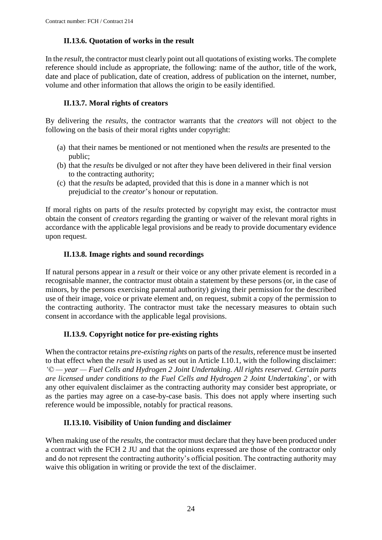## **II.13.6. Quotation of works in the result**

<span id="page-23-0"></span>In the *result*, the contractor must clearly point out all quotations of existing works. The complete reference should include as appropriate, the following: name of the author, title of the work, date and place of publication, date of creation, address of publication on the internet, number, volume and other information that allows the origin to be easily identified.

### **II.13.7. Moral rights of creators**

<span id="page-23-1"></span>By delivering the *results*, the contractor warrants that the *creators* will not object to the following on the basis of their moral rights under copyright:

- (a) that their names be mentioned or not mentioned when the *results* are presented to the public;
- (b) that the *results* be divulged or not after they have been delivered in their final version to the contracting authority;
- (c) that the *results* be adapted, provided that this is done in a manner which is not prejudicial to the *creator*'s honour or reputation.

If moral rights on parts of the *results* protected by copyright may exist, the contractor must obtain the consent of *creators* regarding the granting or waiver of the relevant moral rights in accordance with the applicable legal provisions and be ready to provide documentary evidence upon request.

## **II.13.8. Image rights and sound recordings**

<span id="page-23-2"></span>If natural persons appear in a *result* or their voice or any other private element is recorded in a recognisable manner, the contractor must obtain a statement by these persons (or, in the case of minors, by the persons exercising parental authority) giving their permission for the described use of their image, voice or private element and, on request, submit a copy of the permission to the contracting authority. The contractor must take the necessary measures to obtain such consent in accordance with the applicable legal provisions.

# **II.13.9. Copyright notice for pre-existing rights**

<span id="page-23-3"></span>When the contractor retains *pre-existing rights* on parts of the *results*, reference must be inserted to that effect when the *result* is used as set out in Article I.10.1, with the following disclaimer: *'© — year — Fuel Cells and Hydrogen 2 Joint Undertaking. All rights reserved. Certain parts are licensed under conditions to the Fuel Cells and Hydrogen 2 Joint Undertaking*', or with any other equivalent disclaimer as the contracting authority may consider best appropriate, or as the parties may agree on a case-by-case basis. This does not apply where inserting such reference would be impossible, notably for practical reasons.

### **II.13.10. Visibility of Union funding and disclaimer**

<span id="page-23-4"></span>When making use of the *results*, the contractor must declare that they have been produced under a contract with the FCH 2 JU and that the opinions expressed are those of the contractor only and do not represent the contracting authority's official position. The contracting authority may waive this obligation in writing or provide the text of the disclaimer.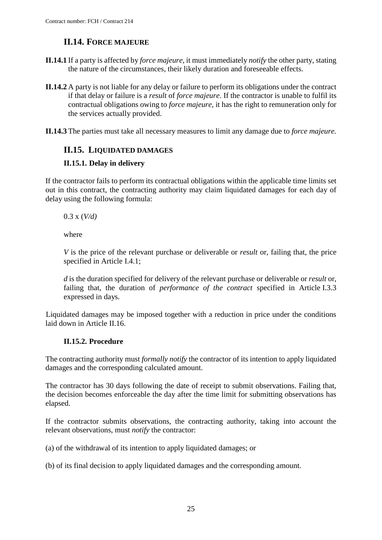# **II.14. FORCE MAJEURE**

- <span id="page-24-0"></span>**II.14.1** If a party is affected by *force majeure*, it must immediately *notify* the other party, stating the nature of the circumstances, their likely duration and foreseeable effects.
- **II.14.2** A party is not liable for any delay or failure to perform its obligations under the contract if that delay or failure is a *result* of *force majeure*. If the contractor is unable to fulfil its contractual obligations owing to *force majeure*, it has the right to remuneration only for the services actually provided.
- **II.14.3** The parties must take all necessary measures to limit any damage due to *force majeure.*

### <span id="page-24-1"></span>**II.15. LIQUIDATED DAMAGES**

#### <span id="page-24-2"></span>**II.15.1. Delay in delivery**

If the contractor fails to perform its contractual obligations within the applicable time limits set out in this contract, the contracting authority may claim liquidated damages for each day of delay using the following formula:

0.3 x (*V/d)*

where

*V* is the price of the relevant purchase or deliverable or *result* or, failing that, the price specified in Article I.4.1;

*d* is the duration specified for delivery of the relevant purchase or deliverable or *result* or, failing that, the duration of *performance of the contract* specified in Article I.3.3 expressed in days.

Liquidated damages may be imposed together with a reduction in price under the conditions laid down in Article II.16.

### **II.15.2. Procedure**

<span id="page-24-3"></span>The contracting authority must *formally notify* the contractor of its intention to apply liquidated damages and the corresponding calculated amount.

The contractor has 30 days following the date of receipt to submit observations. Failing that, the decision becomes enforceable the day after the time limit for submitting observations has elapsed.

If the contractor submits observations, the contracting authority, taking into account the relevant observations, must *notify* the contractor:

(a) of the withdrawal of its intention to apply liquidated damages; or

(b) of its final decision to apply liquidated damages and the corresponding amount.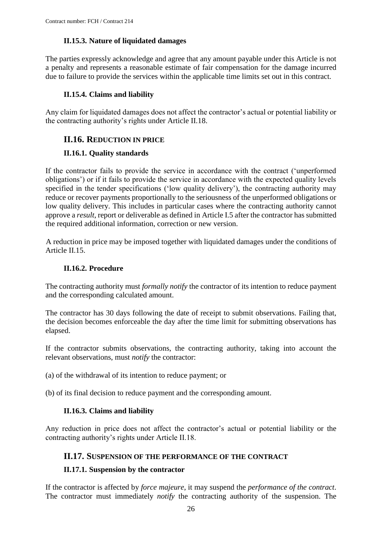### **II.15.3. Nature of liquidated damages**

<span id="page-25-0"></span>The parties expressly acknowledge and agree that any amount payable under this Article is not a penalty and represents a reasonable estimate of fair compensation for the damage incurred due to failure to provide the services within the applicable time limits set out in this contract.

### **II.15.4. Claims and liability**

<span id="page-25-1"></span>Any claim for liquidated damages does not affect the contractor's actual or potential liability or the contracting authority's rights under Article II.18.

### <span id="page-25-2"></span>**II.16. REDUCTION IN PRICE**

### <span id="page-25-3"></span>**II.16.1. Quality standards**

If the contractor fails to provide the service in accordance with the contract ('unperformed obligations') or if it fails to provide the service in accordance with the expected quality levels specified in the tender specifications ('low quality delivery'), the contracting authority may reduce or recover payments proportionally to the seriousness of the unperformed obligations or low quality delivery. This includes in particular cases where the contracting authority cannot approve a *result*, report or deliverable as defined in Article I.5 after the contractor has submitted the required additional information, correction or new version.

A reduction in price may be imposed together with liquidated damages under the conditions of Article II.15.

### **II.16.2. Procedure**

<span id="page-25-4"></span>The contracting authority must *formally notify* the contractor of its intention to reduce payment and the corresponding calculated amount.

The contractor has 30 days following the date of receipt to submit observations. Failing that, the decision becomes enforceable the day after the time limit for submitting observations has elapsed.

If the contractor submits observations, the contracting authority, taking into account the relevant observations, must *notify* the contractor:

(a) of the withdrawal of its intention to reduce payment; or

<span id="page-25-5"></span>(b) of its final decision to reduce payment and the corresponding amount.

### **II.16.3. Claims and liability**

Any reduction in price does not affect the contractor's actual or potential liability or the contracting authority's rights under Article II.18.

### <span id="page-25-6"></span>**II.17. SUSPENSION OF THE PERFORMANCE OF THE CONTRACT**

### <span id="page-25-7"></span>**II.17.1. Suspension by the contractor**

If the contractor is affected by *force majeure*, it may suspend the *performance of the contract*. The contractor must immediately *notify* the contracting authority of the suspension. The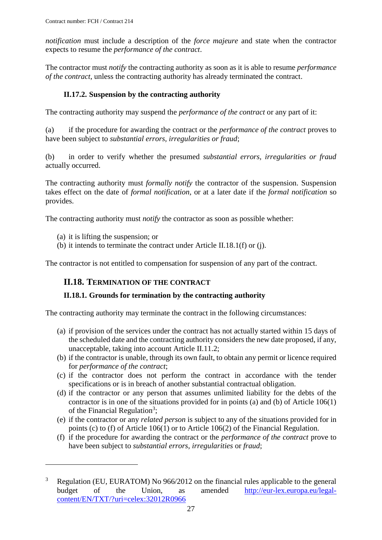*notification* must include a description of the *force majeure* and state when the contractor expects to resume the *performance of the contract*.

The contractor must *notify* the contracting authority as soon as it is able to resume *performance of the contract*, unless the contracting authority has already terminated the contract.

### **II.17.2. Suspension by the contracting authority**

<span id="page-26-0"></span>The contracting authority may suspend the *performance of the contract* or any part of it:

(a) if the procedure for awarding the contract or the *performance of the contract* proves to have been subject to *substantial errors, irregularities or fraud*;

(b) in order to verify whether the presumed *substantial errors, irregularities or fraud* actually occurred.

The contracting authority must *formally notify* the contractor of the suspension. Suspension takes effect on the date of *formal notification*, or at a later date if the *formal notification* so provides.

The contracting authority must *notify* the contractor as soon as possible whether:

(a) it is lifting the suspension; or

 $\overline{a}$ 

(b) it intends to terminate the contract under Article II.18.1(f) or (j).

<span id="page-26-1"></span>The contractor is not entitled to compensation for suspension of any part of the contract.

### **II.18. TERMINATION OF THE CONTRACT**

### <span id="page-26-2"></span>**II.18.1. Grounds for termination by the contracting authority**

The contracting authority may terminate the contract in the following circumstances:

- (a) if provision of the services under the contract has not actually started within 15 days of the scheduled date and the contracting authority considers the new date proposed, if any, unacceptable, taking into account Article II.11.2;
- (b) if the contractor is unable, through its own fault, to obtain any permit or licence required for *performance of the contract*;
- (c) if the contractor does not perform the contract in accordance with the tender specifications or is in breach of another substantial contractual obligation.
- (d) if the contractor or any person that assumes unlimited liability for the debts of the contractor is in one of the situations provided for in points (a) and (b) of Article 106(1) of the Financial Regulation<sup>3</sup>;
- (e) if the contractor or any *related person* is subject to any of the situations provided for in points (c) to (f) of Article 106(1) or to Article 106(2) of the Financial Regulation.
- (f) if the procedure for awarding the contract or the *performance of the contract* prove to have been subject to *substantial errors*, *irregularities* or *fraud*;

 $3$  Regulation (EU, EURATOM) No 966/2012 on the financial rules applicable to the general budget of the Union, as amended [http://eur-lex.europa.eu/legal](http://eur-lex.europa.eu/legal-content/EN/TXT/?uri=celex:32012R0966)[content/EN/TXT/?uri=celex:32012R0966](http://eur-lex.europa.eu/legal-content/EN/TXT/?uri=celex:32012R0966)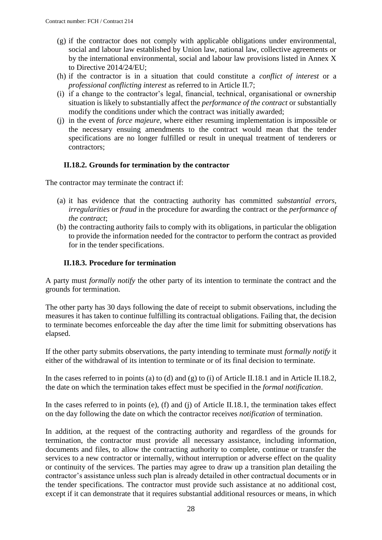- (g) if the contractor does not comply with applicable obligations under environmental, social and labour law established by Union law, national law, collective agreements or by the international environmental, social and labour law provisions listed in Annex X to Directive 2014/24/EU;
- (h) if the contractor is in a situation that could constitute a *conflict of interest* or a *professional conflicting interest* as referred to in Article II.7;
- (i) if a change to the contractor's legal, financial, technical, organisational or ownership situation is likely to substantially affect the *performance of the contract* or substantially modify the conditions under which the contract was initially awarded;
- (j) in the event of *force majeure*, where either resuming implementation is impossible or the necessary ensuing amendments to the contract would mean that the tender specifications are no longer fulfilled or result in unequal treatment of tenderers or contractors;

### **II.18.2. Grounds for termination by the contractor**

<span id="page-27-0"></span>The contractor may terminate the contract if:

- (a) it has evidence that the contracting authority has committed *substantial errors*, *irregularities* or *fraud* in the procedure for awarding the contract or the *performance of the contract*;
- (b) the contracting authority fails to comply with its obligations, in particular the obligation to provide the information needed for the contractor to perform the contract as provided for in the tender specifications.

#### **II.18.3. Procedure for termination**

<span id="page-27-1"></span>A party must *formally notify* the other party of its intention to terminate the contract and the grounds for termination.

The other party has 30 days following the date of receipt to submit observations, including the measures it has taken to continue fulfilling its contractual obligations. Failing that, the decision to terminate becomes enforceable the day after the time limit for submitting observations has elapsed.

If the other party submits observations, the party intending to terminate must *formally notify* it either of the withdrawal of its intention to terminate or of its final decision to terminate.

In the cases referred to in points (a) to (d) and (g) to (i) of Article II.18.1 and in Article II.18.2, the date on which the termination takes effect must be specified in the *formal notification*.

In the cases referred to in points (e), (f) and (j) of Article II.18.1, the termination takes effect on the day following the date on which the contractor receives *notification* of termination.

In addition, at the request of the contracting authority and regardless of the grounds for termination, the contractor must provide all necessary assistance, including information, documents and files, to allow the contracting authority to complete, continue or transfer the services to a new contractor or internally, without interruption or adverse effect on the quality or continuity of the services. The parties may agree to draw up a transition plan detailing the contractor's assistance unless such plan is already detailed in other contractual documents or in the tender specifications. The contractor must provide such assistance at no additional cost, except if it can demonstrate that it requires substantial additional resources or means, in which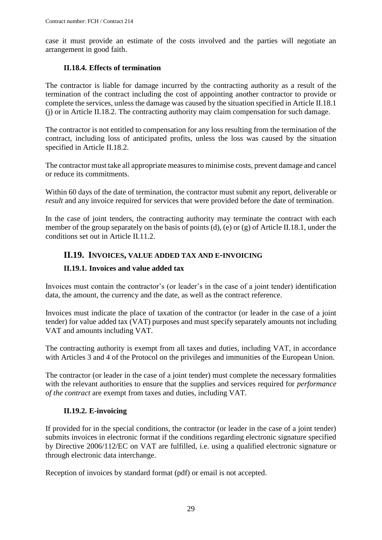case it must provide an estimate of the costs involved and the parties will negotiate an arrangement in good faith.

### **II.18.4. Effects of termination**

<span id="page-28-0"></span>The contractor is liable for damage incurred by the contracting authority as a result of the termination of the contract including the cost of appointing another contractor to provide or complete the services, unless the damage was caused by the situation specified in Article II.18.1 (j) or in Article II.18.2. The contracting authority may claim compensation for such damage.

The contractor is not entitled to compensation for any loss resulting from the termination of the contract, including loss of anticipated profits, unless the loss was caused by the situation specified in Article II.18.2.

The contractor must take all appropriate measures to minimise costs, prevent damage and cancel or reduce its commitments.

Within 60 days of the date of termination, the contractor must submit any report, deliverable or *result* and any invoice required for services that were provided before the date of termination.

In the case of joint tenders, the contracting authority may terminate the contract with each member of the group separately on the basis of points (d), (e) or (g) of Article II.18.1, under the conditions set out in Article II.11.2.

### <span id="page-28-1"></span>**II.19. INVOICES, VALUE ADDED TAX AND E-INVOICING**

### <span id="page-28-2"></span>**II.19.1. Invoices and value added tax**

Invoices must contain the contractor's (or leader's in the case of a joint tender) identification data, the amount, the currency and the date, as well as the contract reference.

Invoices must indicate the place of taxation of the contractor (or leader in the case of a joint tender) for value added tax (VAT) purposes and must specify separately amounts not including VAT and amounts including VAT.

The contracting authority is exempt from all taxes and duties, including VAT, in accordance with Articles 3 and 4 of the Protocol on the privileges and immunities of the European Union.

The contractor (or leader in the case of a joint tender) must complete the necessary formalities with the relevant authorities to ensure that the supplies and services required for *performance of the contract* are exempt from taxes and duties, including VAT.

### **II.19.2. E-invoicing**

<span id="page-28-3"></span>If provided for in the special conditions, the contractor (or leader in the case of a joint tender) submits invoices in electronic format if the conditions regarding electronic signature specified by Directive 2006/112/EC on VAT are fulfilled, i.e. using a qualified electronic signature or through electronic data interchange.

Reception of invoices by standard format (pdf) or email is not accepted.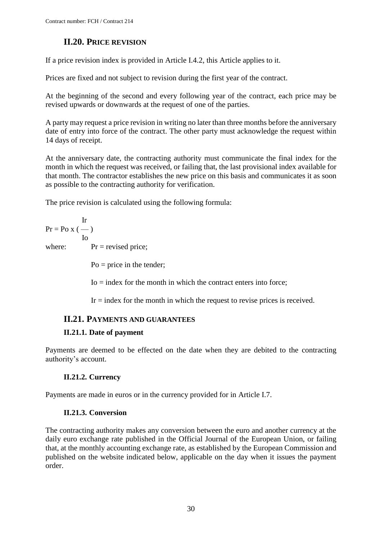# **II.20. PRICE REVISION**

<span id="page-29-0"></span>If a price revision index is provided in Article I.4.2, this Article applies to it.

Prices are fixed and not subject to revision during the first year of the contract.

At the beginning of the second and every following year of the contract, each price may be revised upwards or downwards at the request of one of the parties.

A party may request a price revision in writing no later than three months before the anniversary date of entry into force of the contract. The other party must acknowledge the request within 14 days of receipt.

At the anniversary date, the contracting authority must communicate the final index for the month in which the request was received, or failing that, the last provisional index available for that month. The contractor establishes the new price on this basis and communicates it as soon as possible to the contracting authority for verification.

The price revision is calculated using the following formula:

Ir  $Pr = PoX$  (--) Io where:  $Pr = \text{revised price};$  $Po = price$  in the tender;

 $I_0$  = index for the month in which the contract enters into force;

 $Ir = index$  for the month in which the request to revise prices is received.

# <span id="page-29-1"></span>**II.21. PAYMENTS AND GUARANTEES**

### <span id="page-29-2"></span>**II.21.1. Date of payment**

Payments are deemed to be effected on the date when they are debited to the contracting authority's account.

### **II.21.2. Currency**

<span id="page-29-4"></span><span id="page-29-3"></span>Payments are made in euros or in the currency provided for in Article I.7.

### **II.21.3. Conversion**

The contracting authority makes any conversion between the euro and another currency at the daily euro exchange rate published in the Official Journal of the European Union, or failing that, at the monthly accounting exchange rate, as established by the European Commission and published on the website indicated below, applicable on the day when it issues the payment order.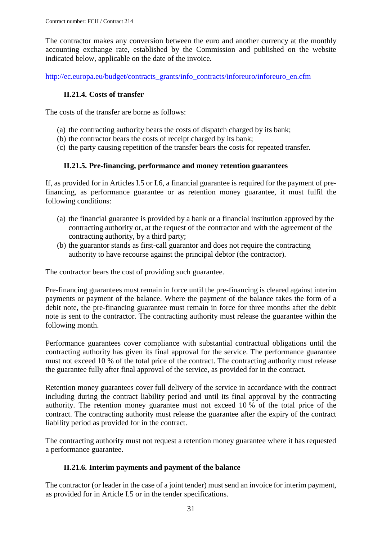The contractor makes any conversion between the euro and another currency at the monthly accounting exchange rate, established by the Commission and published on the website indicated below, applicable on the date of the invoice.

<span id="page-30-0"></span>[http://ec.europa.eu/budget/contracts\\_grants/info\\_contracts/inforeuro/inforeuro\\_en.cfm](http://ec.europa.eu/budget/contracts_grants/info_contracts/inforeuro/inforeuro_en.cfm)

### **II.21.4. Costs of transfer**

The costs of the transfer are borne as follows:

- (a) the contracting authority bears the costs of dispatch charged by its bank;
- (b) the contractor bears the costs of receipt charged by its bank;
- (c) the party causing repetition of the transfer bears the costs for repeated transfer.

### **II.21.5. Pre-financing, performance and money retention guarantees**

<span id="page-30-1"></span>If, as provided for in Articles I.5 or I.6*,* a financial guarantee is required for the payment of prefinancing, as performance guarantee or as retention money guarantee, it must fulfil the following conditions:

- (a) the financial guarantee is provided by a bank or a financial institution approved by the contracting authority or, at the request of the contractor and with the agreement of the contracting authority, by a third party;
- (b) the guarantor stands as first-call guarantor and does not require the contracting authority to have recourse against the principal debtor (the contractor).

The contractor bears the cost of providing such guarantee.

Pre-financing guarantees must remain in force until the pre-financing is cleared against interim payments or payment of the balance. Where the payment of the balance takes the form of a debit note, the pre-financing guarantee must remain in force for three months after the debit note is sent to the contractor. The contracting authority must release the guarantee within the following month.

Performance guarantees cover compliance with substantial contractual obligations until the contracting authority has given its final approval for the service. The performance guarantee must not exceed 10 % of the total price of the contract. The contracting authority must release the guarantee fully after final approval of the service, as provided for in the contract.

Retention money guarantees cover full delivery of the service in accordance with the contract including during the contract liability period and until its final approval by the contracting authority. The retention money guarantee must not exceed 10 % of the total price of the contract. The contracting authority must release the guarantee after the expiry of the contract liability period as provided for in the contract.

The contracting authority must not request a retention money guarantee where it has requested a performance guarantee.

### **II.21.6. Interim payments and payment of the balance**

<span id="page-30-2"></span>The contractor (or leader in the case of a joint tender) must send an invoice for interim payment, as provided for in Article I.5 or in the tender specifications.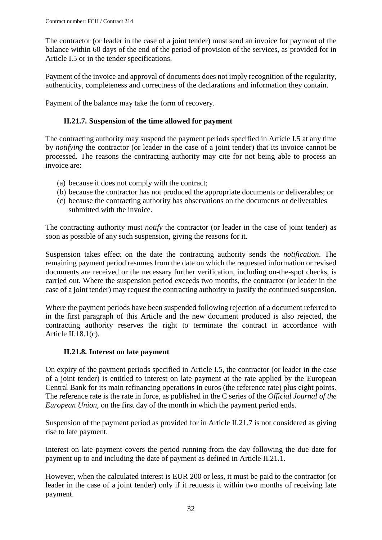The contractor (or leader in the case of a joint tender) must send an invoice for payment of the balance within 60 days of the end of the period of provision of the services, as provided for in Article I.5 or in the tender specifications.

Payment of the invoice and approval of documents does not imply recognition of the regularity, authenticity, completeness and correctness of the declarations and information they contain.

<span id="page-31-0"></span>Payment of the balance may take the form of recovery.

### **II.21.7. Suspension of the time allowed for payment**

The contracting authority may suspend the payment periods specified in Article I.5 at any time by *notifying* the contractor (or leader in the case of a joint tender) that its invoice cannot be processed. The reasons the contracting authority may cite for not being able to process an invoice are:

- (a) because it does not comply with the contract;
- (b) because the contractor has not produced the appropriate documents or deliverables; or
- (c) because the contracting authority has observations on the documents or deliverables submitted with the invoice.

The contracting authority must *notify* the contractor (or leader in the case of joint tender) as soon as possible of any such suspension, giving the reasons for it.

Suspension takes effect on the date the contracting authority sends the *notification*. The remaining payment period resumes from the date on which the requested information or revised documents are received or the necessary further verification, including on-the-spot checks, is carried out. Where the suspension period exceeds two months, the contractor (or leader in the case of a joint tender) may request the contracting authority to justify the continued suspension.

Where the payment periods have been suspended following rejection of a document referred to in the first paragraph of this Article and the new document produced is also rejected, the contracting authority reserves the right to terminate the contract in accordance with Article II.18.1(c)*.*

### **II.21.8. Interest on late payment**

<span id="page-31-1"></span>On expiry of the payment periods specified in Article I.5, the contractor (or leader in the case of a joint tender) is entitled to interest on late payment at the rate applied by the European Central Bank for its main refinancing operations in euros (the reference rate) plus eight points. The reference rate is the rate in force, as published in the C series of the *Official Journal of the European Union,* on the first day of the month in which the payment period ends.

Suspension of the payment period as provided for in Article II.21.7 is not considered as giving rise to late payment.

Interest on late payment covers the period running from the day following the due date for payment up to and including the date of payment as defined in Article II.21.1.

However, when the calculated interest is EUR 200 or less, it must be paid to the contractor (or leader in the case of a joint tender) only if it requests it within two months of receiving late payment.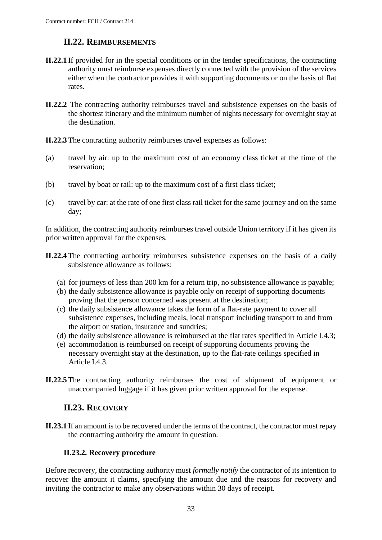# **II.22. REIMBURSEMENTS**

- <span id="page-32-0"></span>**II.22.1** If provided for in the special conditions or in the tender specifications, the contracting authority must reimburse expenses directly connected with the provision of the services either when the contractor provides it with supporting documents or on the basis of flat rates.
- **II.22.2** The contracting authority reimburses travel and subsistence expenses on the basis of the shortest itinerary and the minimum number of nights necessary for overnight stay at the destination.

**II.22.3** The contracting authority reimburses travel expenses as follows:

- (a) travel by air: up to the maximum cost of an economy class ticket at the time of the reservation;
- (b) travel by boat or rail: up to the maximum cost of a first class ticket;
- (c) travel by car: at the rate of one first class rail ticket for the same journey and on the same day;

In addition, the contracting authority reimburses travel outside Union territory if it has given its prior written approval for the expenses.

- **II.22.4** The contracting authority reimburses subsistence expenses on the basis of a daily subsistence allowance as follows:
	- (a) for journeys of less than 200 km for a return trip, no subsistence allowance is payable;
	- (b) the daily subsistence allowance is payable only on receipt of supporting documents proving that the person concerned was present at the destination;
	- (c) the daily subsistence allowance takes the form of a flat-rate payment to cover all subsistence expenses, including meals, local transport including transport to and from the airport or station, insurance and sundries;
	- (d) the daily subsistence allowance is reimbursed at the flat rates specified in Article I.4.3;
	- (e) accommodation is reimbursed on receipt of supporting documents proving the necessary overnight stay at the destination, up to the flat-rate ceilings specified in Article I.4.3.
- **II.22.5** The contracting authority reimburses the cost of shipment of equipment or unaccompanied luggage if it has given prior written approval for the expense.

### **II.23. RECOVERY**

<span id="page-32-1"></span>**II.23.1** If an amount is to be recovered under the terms of the contract, the contractor must repay the contracting authority the amount in question.

### **II.23.2. Recovery procedure**

<span id="page-32-2"></span>Before recovery, the contracting authority must *formally notify* the contractor of its intention to recover the amount it claims, specifying the amount due and the reasons for recovery and inviting the contractor to make any observations within 30 days of receipt.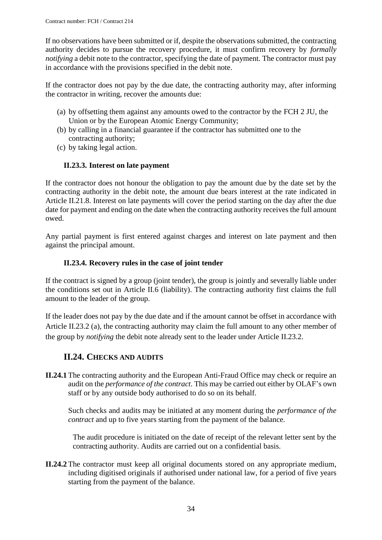If no observations have been submitted or if, despite the observations submitted, the contracting authority decides to pursue the recovery procedure, it must confirm recovery by *formally notifying* a debit note to the contractor, specifying the date of payment. The contractor must pay in accordance with the provisions specified in the debit note.

If the contractor does not pay by the due date, the contracting authority may, after informing the contractor in writing, recover the amounts due:

- (a) by offsetting them against any amounts owed to the contractor by the FCH 2 JU, the Union or by the European Atomic Energy Community;
- (b) by calling in a financial guarantee if the contractor has submitted one to the contracting authority;
- (c) by taking legal action.

### **II.23.3. Interest on late payment**

<span id="page-33-0"></span>If the contractor does not honour the obligation to pay the amount due by the date set by the contracting authority in the debit note, the amount due bears interest at the rate indicated in Article II.21.8. Interest on late payments will cover the period starting on the day after the due date for payment and ending on the date when the contracting authority receives the full amount owed.

Any partial payment is first entered against charges and interest on late payment and then against the principal amount.

#### **II.23.4. Recovery rules in the case of joint tender**

<span id="page-33-1"></span>If the contract is signed by a group (joint tender), the group is jointly and severally liable under the conditions set out in Article II.6 (liability). The contracting authority first claims the full amount to the leader of the group.

If the leader does not pay by the due date and if the amount cannot be offset in accordance with Article II.23.2 (a), the contracting authority may claim the full amount to any other member of the group by *notifying* the debit note already sent to the leader under Article II.23.2.

### **II.24. CHECKS AND AUDITS**

<span id="page-33-2"></span>**II.24.1** The contracting authority and the European Anti-Fraud Office may check or require an audit on the *performance of the contract*. This may be carried out either by OLAF's own staff or by any outside body authorised to do so on its behalf.

Such checks and audits may be initiated at any moment during the *performance of the contract* and up to five years starting from the payment of the balance.

The audit procedure is initiated on the date of receipt of the relevant letter sent by the contracting authority. Audits are carried out on a confidential basis.

**II.24.2** The contractor must keep all original documents stored on any appropriate medium, including digitised originals if authorised under national law, for a period of five years starting from the payment of the balance.